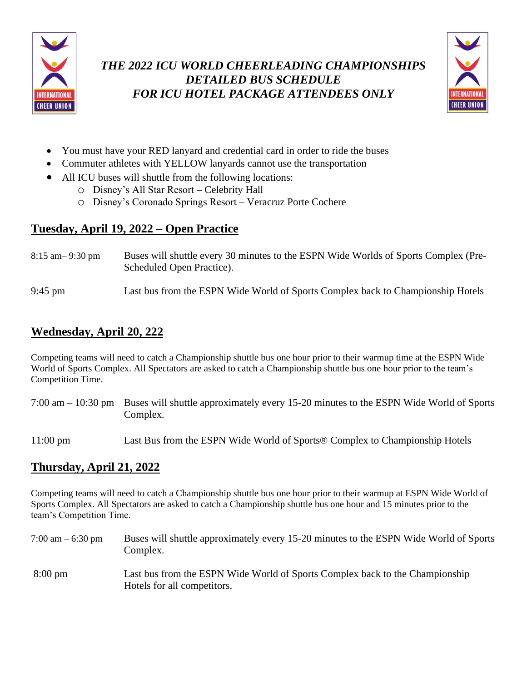

### *THE 2022 ICU WORLD CHEERLEADING CHAMPIONSHIPS DETAILED BUS SCHEDULE FOR ICU HOTEL PACKAGE ATTENDEES ONLY*



- You must have your RED lanyard and credential card in order to ride the buses
- Commuter athletes with YELLOW lanyards cannot use the transportation
- All ICU buses will shuttle from the following locations:
	- o Disney's All Star Resort Celebrity Hall
	- o Disney's Coronado Springs Resort Veracruz Porte Cochere

## **Tuesday, April 19, 2022 – Open Practice**

- 8:15 am– 9:30 pm Buses will shuttle every 30 minutes to the ESPN Wide Worlds of Sports Complex (Pre-Scheduled Open Practice).
- 9:45 pm Last bus from the ESPN Wide World of Sports Complex back to Championship Hotels

## **Wednesday, April 20, 222**

Competing teams will need to catch a Championship shuttle bus one hour prior to their warmup time at the ESPN Wide World of Sports Complex. All Spectators are asked to catch a Championship shuttle bus one hour prior to the team's Competition Time.

- 7:00 am 10:30 pm Buses will shuttle approximately every 15-20 minutes to the ESPN Wide World of Sports Complex.
- 11:00 pm Last Bus from the ESPN Wide World of Sports® Complex to Championship Hotels

# **Thursday, April 21, 2022**

Competing teams will need to catch a Championship shuttle bus one hour prior to their warmup at ESPN Wide World of Sports Complex. All Spectators are asked to catch a Championship shuttle bus one hour and 15 minutes prior to the team's Competition Time.

7:00 am – 6:30 pm Buses will shuttle approximately every 15-20 minutes to the ESPN Wide World of Sports Complex. 8:00 pm Last bus from the ESPN Wide World of Sports Complex back to the Championship Hotels for all competitors.